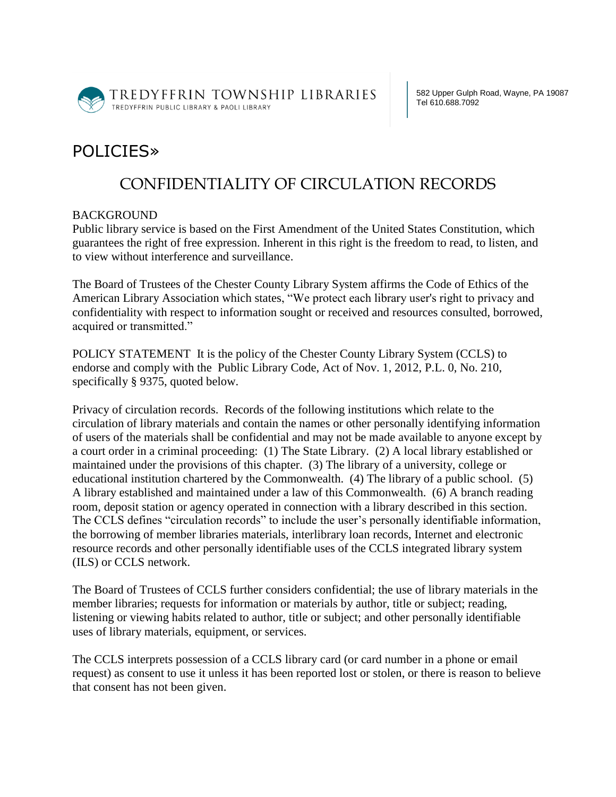

TREDYFFRIN TOWNSHIP LIBRARIES TREDYFFRIN PUBLIC LIBRARY & PAOLI LIBRARY

582 Upper Gulph Road, Wayne, PA 19087 Tel 610.688.7092

## POLICIES»

## CONFIDENTIALITY OF CIRCULATION RECORDS

## BACKGROUND

Public library service is based on the First Amendment of the United States Constitution, which guarantees the right of free expression. Inherent in this right is the freedom to read, to listen, and to view without interference and surveillance.

The Board of Trustees of the Chester County Library System affirms the Code of Ethics of the American Library Association which states, "We protect each library user's right to privacy and confidentiality with respect to information sought or received and resources consulted, borrowed, acquired or transmitted."

POLICY STATEMENT It is the policy of the Chester County Library System (CCLS) to endorse and comply with the Public Library Code, Act of Nov. 1, 2012, P.L. 0, No. 210, specifically § 9375, quoted below.

Privacy of circulation records. Records of the following institutions which relate to the circulation of library materials and contain the names or other personally identifying information of users of the materials shall be confidential and may not be made available to anyone except by a court order in a criminal proceeding: (1) The State Library. (2) A local library established or maintained under the provisions of this chapter. (3) The library of a university, college or educational institution chartered by the Commonwealth. (4) The library of a public school. (5) A library established and maintained under a law of this Commonwealth. (6) A branch reading room, deposit station or agency operated in connection with a library described in this section. The CCLS defines "circulation records" to include the user's personally identifiable information, the borrowing of member libraries materials, interlibrary loan records, Internet and electronic resource records and other personally identifiable uses of the CCLS integrated library system (ILS) or CCLS network.

The Board of Trustees of CCLS further considers confidential; the use of library materials in the member libraries; requests for information or materials by author, title or subject; reading, listening or viewing habits related to author, title or subject; and other personally identifiable uses of library materials, equipment, or services.

The CCLS interprets possession of a CCLS library card (or card number in a phone or email request) as consent to use it unless it has been reported lost or stolen, or there is reason to believe that consent has not been given.